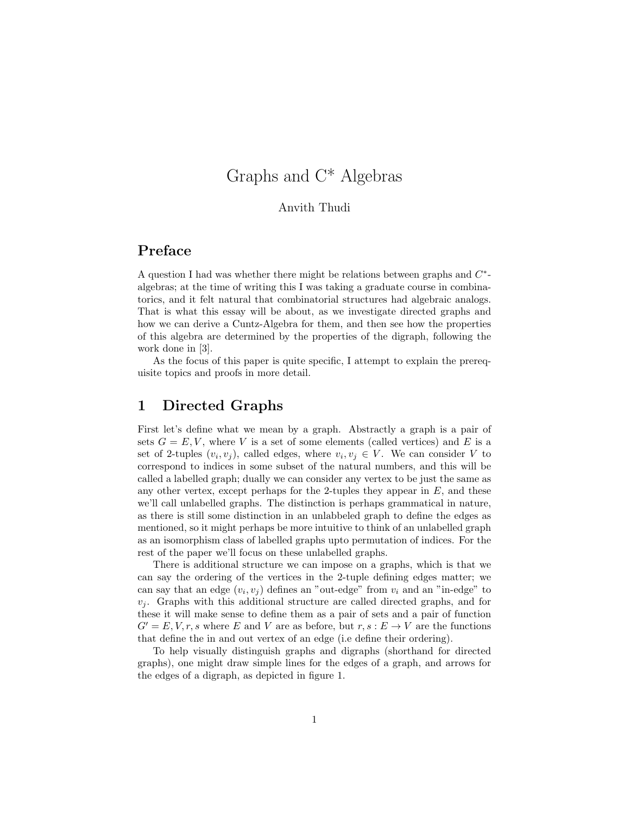# Graphs and C\* Algebras

#### Anvith Thudi

## Preface

A question I had was whether there might be relations between graphs and  $C^*$ algebras; at the time of writing this I was taking a graduate course in combinatorics, and it felt natural that combinatorial structures had algebraic analogs. That is what this essay will be about, as we investigate directed graphs and how we can derive a Cuntz-Algebra for them, and then see how the properties of this algebra are determined by the properties of the digraph, following the work done in [3].

As the focus of this paper is quite specific, I attempt to explain the prerequisite topics and proofs in more detail.

## 1 Directed Graphs

First let's define what we mean by a graph. Abstractly a graph is a pair of sets  $G = E, V$ , where V is a set of some elements (called vertices) and E is a set of 2-tuples  $(v_i, v_j)$ , called edges, where  $v_i, v_j \in V$ . We can consider V to correspond to indices in some subset of the natural numbers, and this will be called a labelled graph; dually we can consider any vertex to be just the same as any other vertex, except perhaps for the 2-tuples they appear in  $E$ , and these we'll call unlabelled graphs. The distinction is perhaps grammatical in nature, as there is still some distinction in an unlabbeled graph to define the edges as mentioned, so it might perhaps be more intuitive to think of an unlabelled graph as an isomorphism class of labelled graphs upto permutation of indices. For the rest of the paper we'll focus on these unlabelled graphs.

There is additional structure we can impose on a graphs, which is that we can say the ordering of the vertices in the 2-tuple defining edges matter; we can say that an edge  $(v_i, v_j)$  defines an "out-edge" from  $v_i$  and an "in-edge" to  $v_i$ . Graphs with this additional structure are called directed graphs, and for these it will make sense to define them as a pair of sets and a pair of function  $G' = E, V, r, s$  where E and V are as before, but  $r, s : E \to V$  are the functions that define the in and out vertex of an edge (i.e define their ordering).

To help visually distinguish graphs and digraphs (shorthand for directed graphs), one might draw simple lines for the edges of a graph, and arrows for the edges of a digraph, as depicted in figure 1.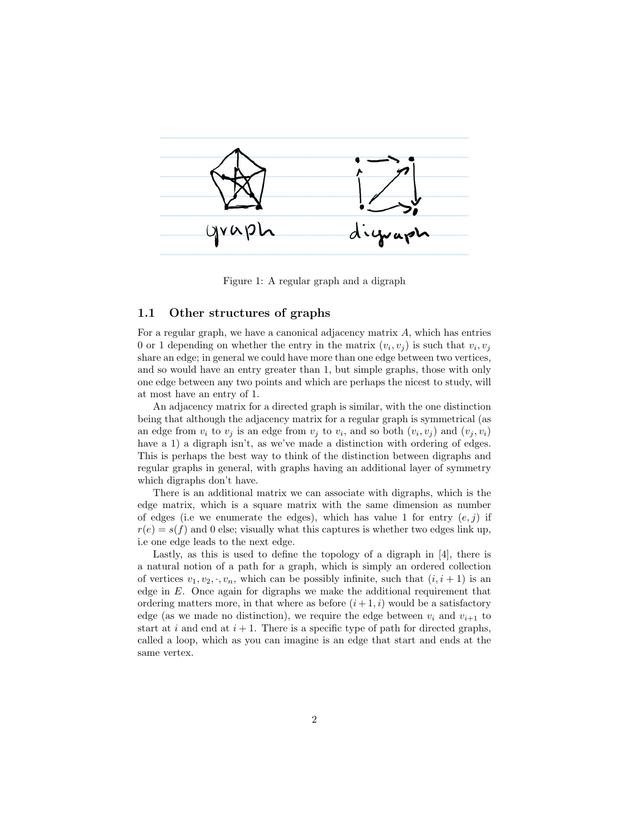

Figure 1: A regular graph and a digraph

#### 1.1 Other structures of graphs

For a regular graph, we have a canonical adjacency matrix  $A$ , which has entries 0 or 1 depending on whether the entry in the matrix  $(v_i, v_j)$  is such that  $v_i, v_j$ share an edge; in general we could have more than one edge between two vertices, and so would have an entry greater than 1, but simple graphs, those with only one edge between any two points and which are perhaps the nicest to study, will at most have an entry of 1.

An adjacency matrix for a directed graph is similar, with the one distinction being that although the adjacency matrix for a regular graph is symmetrical (as an edge from  $v_i$  to  $v_j$  is an edge from  $v_j$  to  $v_i$ , and so both  $(v_i, v_j)$  and  $(v_j, v_i)$ have a 1) a digraph isn't, as we've made a distinction with ordering of edges. This is perhaps the best way to think of the distinction between digraphs and regular graphs in general, with graphs having an additional layer of symmetry which digraphs don't have.

There is an additional matrix we can associate with digraphs, which is the edge matrix, which is a square matrix with the same dimension as number of edges (i.e we enumerate the edges), which has value 1 for entry  $(e, j)$  if  $r(e) = s(f)$  and 0 else; visually what this captures is whether two edges link up, i.e one edge leads to the next edge.

Lastly, as this is used to define the topology of a digraph in [4], there is a natural notion of a path for a graph, which is simply an ordered collection of vertices  $v_1, v_2, \cdot, v_n$ , which can be possibly infinite, such that  $(i, i + 1)$  is an edge in  $E$ . Once again for digraphs we make the additional requirement that ordering matters more, in that where as before  $(i+1, i)$  would be a satisfactory edge (as we made no distinction), we require the edge between  $v_i$  and  $v_{i+1}$  to start at i and end at  $i + 1$ . There is a specific type of path for directed graphs, called a loop, which as you can imagine is an edge that start and ends at the same vertex.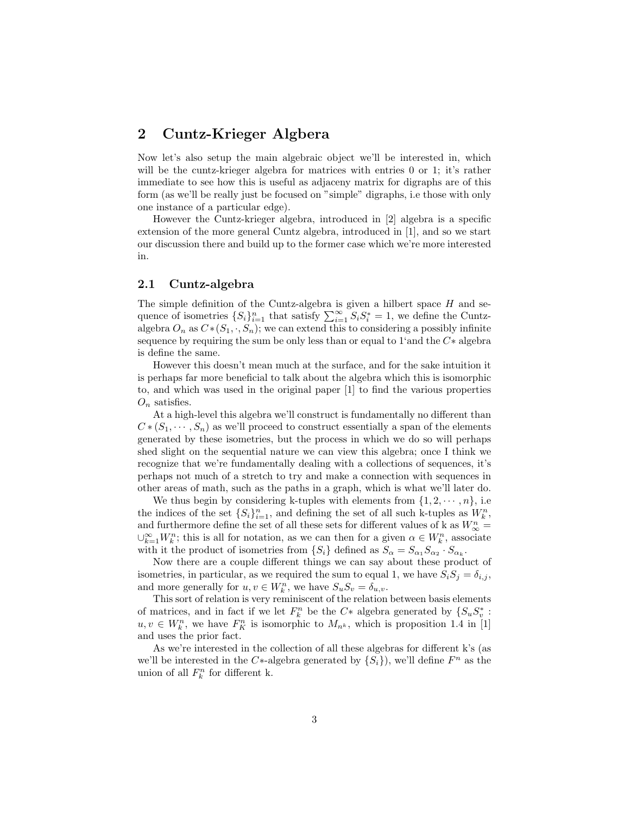## 2 Cuntz-Krieger Algbera

Now let's also setup the main algebraic object we'll be interested in, which will be the cuntz-krieger algebra for matrices with entries 0 or 1; it's rather immediate to see how this is useful as adjaceny matrix for digraphs are of this form (as we'll be really just be focused on "simple" digraphs, i.e those with only one instance of a particular edge).

However the Cuntz-krieger algebra, introduced in [2] algebra is a specific extension of the more general Cuntz algebra, introduced in [1], and so we start our discussion there and build up to the former case which we're more interested in.

#### 2.1 Cuntz-algebra

The simple definition of the Cuntz-algebra is given a hilbert space  $H$  and sequence of isometries  $\{S_i\}_{i=1}^n$  that satisfy  $\sum_{i=1}^\infty S_i S_i^* = 1$ , we define the Cuntzalgebra  $O_n$  as  $C*(S_1, \cdot, S_n)$ ; we can extend this to considering a possibly infinite sequence by requiring the sum be only less than or equal to 1'and the C∗ algebra is define the same.

However this doesn't mean much at the surface, and for the sake intuition it is perhaps far more beneficial to talk about the algebra which this is isomorphic to, and which was used in the original paper [1] to find the various properties  $O_n$  satisfies.

At a high-level this algebra we'll construct is fundamentally no different than  $C*(S_1,\dots, S_n)$  as we'll proceed to construct essentially a span of the elements generated by these isometries, but the process in which we do so will perhaps shed slight on the sequential nature we can view this algebra; once I think we recognize that we're fundamentally dealing with a collections of sequences, it's perhaps not much of a stretch to try and make a connection with sequences in other areas of math, such as the paths in a graph, which is what we'll later do.

We thus begin by considering k-tuples with elements from  $\{1, 2, \dots, n\}$ , i.e the indices of the set  $\{S_i\}_{i=1}^n$ , and defining the set of all such k-tuples as  $W_k^n$ , and furthermore define the set of all these sets for different values of k as  $W_{\infty}^{n} =$  $\cup_{k=1}^{\infty} W_k^n$ ; this is all for notation, as we can then for a given  $\alpha \in W_k^n$ , associate with it the product of isometries from  $\{S_i\}$  defined as  $S_{\alpha} = S_{\alpha_1} S_{\alpha_2} \cdot S_{\alpha_k}$ .

Now there are a couple different things we can say about these product of isometries, in particular, as we required the sum to equal 1, we have  $S_i S_j = \delta_{i,j}$ , and more generally for  $u, v \in W_k^n$ , we have  $S_u S_v = \delta_{u,v}$ .

This sort of relation is very reminiscent of the relation between basis elements of matrices, and in fact if we let  $F_k^n$  be the  $C*$  algebra generated by  $\{S_u S_v^*$ :  $u, v \in W_k^n$ , we have  $F_K^n$  is isomorphic to  $M_{n^k}$ , which is proposition 1.4 in [1] and uses the prior fact.

As we're interested in the collection of all these algebras for different k's (as we'll be interested in the C<sup>\*</sup>-algebra generated by  $\{S_i\}$ , we'll define  $F^n$  as the union of all  $F_k^n$  for different k.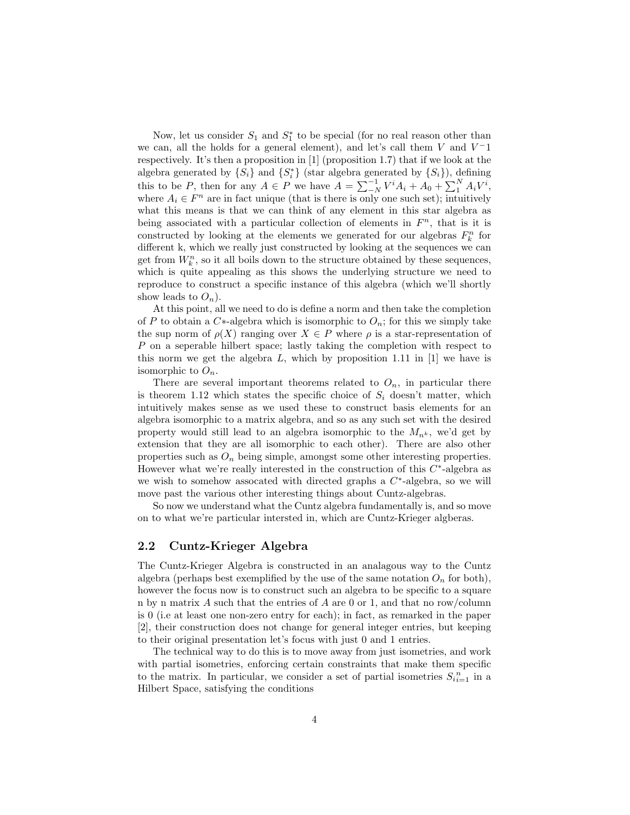Now, let us consider  $S_1$  and  $S_1^*$  to be special (for no real reason other than we can, all the holds for a general element), and let's call them  $V$  and  $V^-1$ respectively. It's then a proposition in [1] (proposition 1.7) that if we look at the algebra generated by  $\{S_i\}$  and  $\{S_i^*\}$  (star algebra generated by  $\{S_i\}$ ), defining this to be P, then for any  $A \in P$  we have  $A = \sum_{i=1}^{-1} V^i A_i + A_0 + \sum_{i=1}^{N} A_i V^i$ , where  $A_i \in F^n$  are in fact unique (that is there is only one such set); intuitively what this means is that we can think of any element in this star algebra as being associated with a particular collection of elements in  $F<sup>n</sup>$ , that is it is constructed by looking at the elements we generated for our algebras  $F_k^n$  for different k, which we really just constructed by looking at the sequences we can get from  $W_k^n$ , so it all boils down to the structure obtained by these sequences, which is quite appealing as this shows the underlying structure we need to reproduce to construct a specific instance of this algebra (which we'll shortly show leads to  $O_n$ ).

At this point, all we need to do is define a norm and then take the completion of P to obtain a C<sup>\*</sup>-algebra which is isomorphic to  $O_n$ ; for this we simply take the sup norm of  $\rho(X)$  ranging over  $X \in P$  where  $\rho$  is a star-representation of P on a seperable hilbert space; lastly taking the completion with respect to this norm we get the algebra  $L$ , which by proposition 1.11 in [1] we have is isomorphic to  $O_n$ .

There are several important theorems related to  $O_n$ , in particular there is theorem 1.12 which states the specific choice of  $S_i$  doesn't matter, which intuitively makes sense as we used these to construct basis elements for an algebra isomorphic to a matrix algebra, and so as any such set with the desired property would still lead to an algebra isomorphic to the  $M_{n^k}$ , we'd get by extension that they are all isomorphic to each other). There are also other properties such as  $O_n$  being simple, amongst some other interesting properties. However what we're really interested in the construction of this  $C^*$ -algebra as we wish to somehow assocated with directed graphs a  $C^*$ -algebra, so we will move past the various other interesting things about Cuntz-algebras.

So now we understand what the Cuntz algebra fundamentally is, and so move on to what we're particular intersted in, which are Cuntz-Krieger algberas.

#### 2.2 Cuntz-Krieger Algebra

The Cuntz-Krieger Algebra is constructed in an analagous way to the Cuntz algebra (perhaps best exemplified by the use of the same notation  $O_n$  for both), however the focus now is to construct such an algebra to be specific to a square n by n matrix A such that the entries of A are 0 or 1, and that no row/column is 0 (i.e at least one non-zero entry for each); in fact, as remarked in the paper [2], their construction does not change for general integer entries, but keeping to their original presentation let's focus with just 0 and 1 entries.

The technical way to do this is to move away from just isometries, and work with partial isometries, enforcing certain constraints that make them specific to the matrix. In particular, we consider a set of partial isometries  $S_{ii=1}^n$  in a Hilbert Space, satisfying the conditions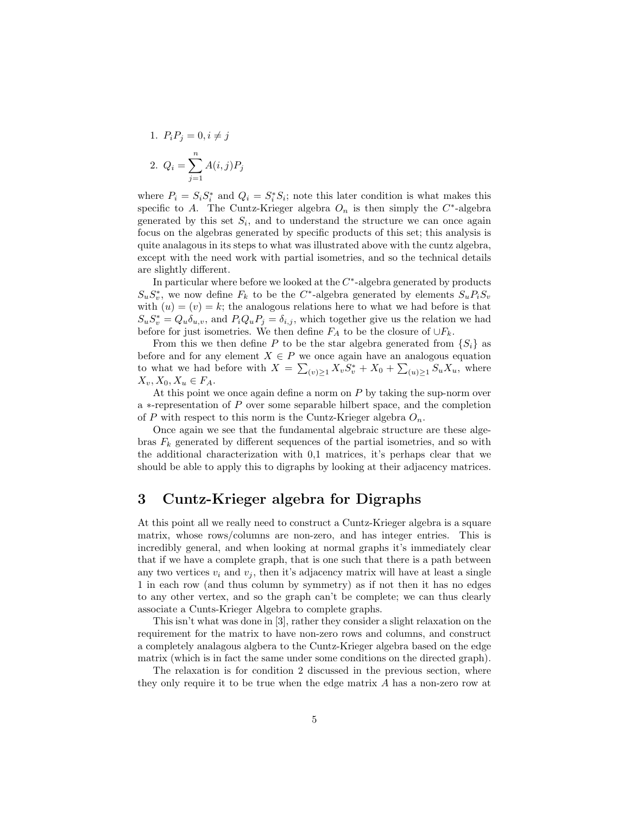1. 
$$
P_i P_j = 0, i \neq j
$$
  
2.  $Q_i = \sum_{j=1}^n A(i, j) P_j$ 

where  $P_i = S_i S_i^*$  and  $Q_i = S_i^* S_i$ ; note this later condition is what makes this specific to A. The Cuntz-Krieger algebra  $O_n$  is then simply the  $C^*$ -algebra generated by this set  $S_i$ , and to understand the structure we can once again focus on the algebras generated by specific products of this set; this analysis is quite analagous in its steps to what was illustrated above with the cuntz algebra, except with the need work with partial isometries, and so the technical details are slightly different.

In particular where before we looked at the  $C^*$ -algebra generated by products  $S_u S_v^*$ , we now define  $F_k$  to be the C<sup>\*</sup>-algebra generated by elements  $S_u P_i S_v$ with  $(u) = (v) = k$ ; the analogous relations here to what we had before is that  $S_u S_v^* = Q_u \delta_{u,v}$ , and  $P_i Q_u P_j = \delta_{i,j}$ , which together give us the relation we had before for just isometries. We then define  $F_A$  to be the closure of  $\bigcup F_k$ .

From this we then define P to be the star algebra generated from  $\{S_i\}$  as before and for any element  $X \in P$  we once again have an analogous equation to what we had before with  $X = \sum_{(v)\geq 1} X_v S_v^* + X_0 + \sum_{(u)\geq 1} S_u X_u$ , where  $X_v, X_0, X_u \in F_A.$ 

At this point we once again define a norm on  $P$  by taking the sup-norm over a ∗-representation of P over some separable hilbert space, and the completion of P with respect to this norm is the Cuntz-Krieger algebra  $O_n$ .

Once again we see that the fundamental algebraic structure are these algebras  $F_k$  generated by different sequences of the partial isometries, and so with the additional characterization with 0,1 matrices, it's perhaps clear that we should be able to apply this to digraphs by looking at their adjacency matrices.

## 3 Cuntz-Krieger algebra for Digraphs

At this point all we really need to construct a Cuntz-Krieger algebra is a square matrix, whose rows/columns are non-zero, and has integer entries. This is incredibly general, and when looking at normal graphs it's immediately clear that if we have a complete graph, that is one such that there is a path between any two vertices  $v_i$  and  $v_j$ , then it's adjacency matrix will have at least a single 1 in each row (and thus column by symmetry) as if not then it has no edges to any other vertex, and so the graph can't be complete; we can thus clearly associate a Cunts-Krieger Algebra to complete graphs.

This isn't what was done in [3], rather they consider a slight relaxation on the requirement for the matrix to have non-zero rows and columns, and construct a completely analagous algbera to the Cuntz-Krieger algebra based on the edge matrix (which is in fact the same under some conditions on the directed graph).

The relaxation is for condition 2 discussed in the previous section, where they only require it to be true when the edge matrix A has a non-zero row at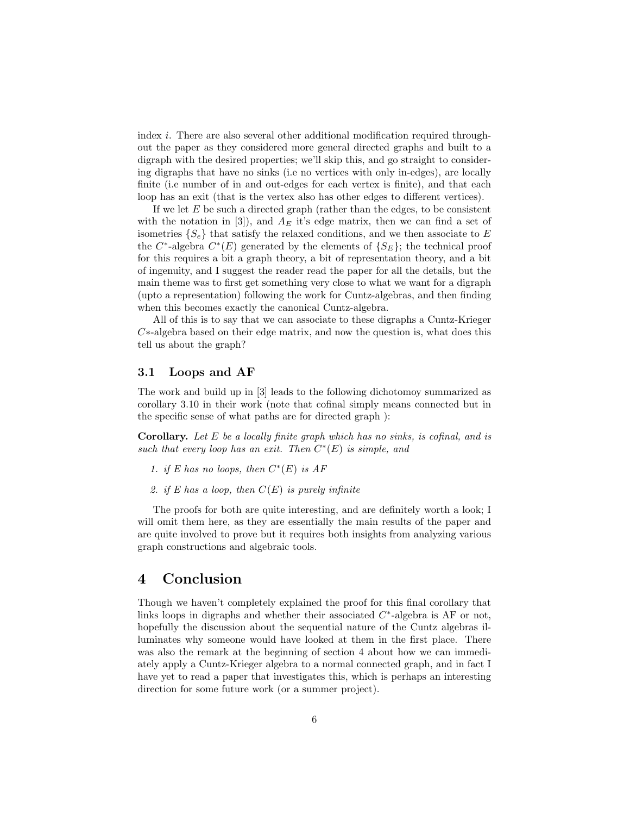index i. There are also several other additional modification required throughout the paper as they considered more general directed graphs and built to a digraph with the desired properties; we'll skip this, and go straight to considering digraphs that have no sinks (i.e no vertices with only in-edges), are locally finite (i.e number of in and out-edges for each vertex is finite), and that each loop has an exit (that is the vertex also has other edges to different vertices).

If we let  $E$  be such a directed graph (rather than the edges, to be consistent with the notation in [3]), and  $A_E$  it's edge matrix, then we can find a set of isometries  $\{S_e\}$  that satisfy the relaxed conditions, and we then associate to E the  $C^*$ -algebra  $C^*(E)$  generated by the elements of  $\{S_E\}$ ; the technical proof for this requires a bit a graph theory, a bit of representation theory, and a bit of ingenuity, and I suggest the reader read the paper for all the details, but the main theme was to first get something very close to what we want for a digraph (upto a representation) following the work for Cuntz-algebras, and then finding when this becomes exactly the canonical Cuntz-algebra.

All of this is to say that we can associate to these digraphs a Cuntz-Krieger C∗-algebra based on their edge matrix, and now the question is, what does this tell us about the graph?

#### 3.1 Loops and AF

The work and build up in [3] leads to the following dichotomoy summarized as corollary 3.10 in their work (note that cofinal simply means connected but in the specific sense of what paths are for directed graph ):

**Corollary.** Let  $E$  be a locally finite graph which has no sinks, is cofinal, and is such that every loop has an exit. Then  $C^*(E)$  is simple, and

- 1. if E has no loops, then  $C^*(E)$  is AF
- 2. if E has a loop, then  $C(E)$  is purely infinite

The proofs for both are quite interesting, and are definitely worth a look; I will omit them here, as they are essentially the main results of the paper and are quite involved to prove but it requires both insights from analyzing various graph constructions and algebraic tools.

### 4 Conclusion

Though we haven't completely explained the proof for this final corollary that links loops in digraphs and whether their associated  $C^*$ -algebra is AF or not, hopefully the discussion about the sequential nature of the Cuntz algebras illuminates why someone would have looked at them in the first place. There was also the remark at the beginning of section 4 about how we can immediately apply a Cuntz-Krieger algebra to a normal connected graph, and in fact I have yet to read a paper that investigates this, which is perhaps an interesting direction for some future work (or a summer project).